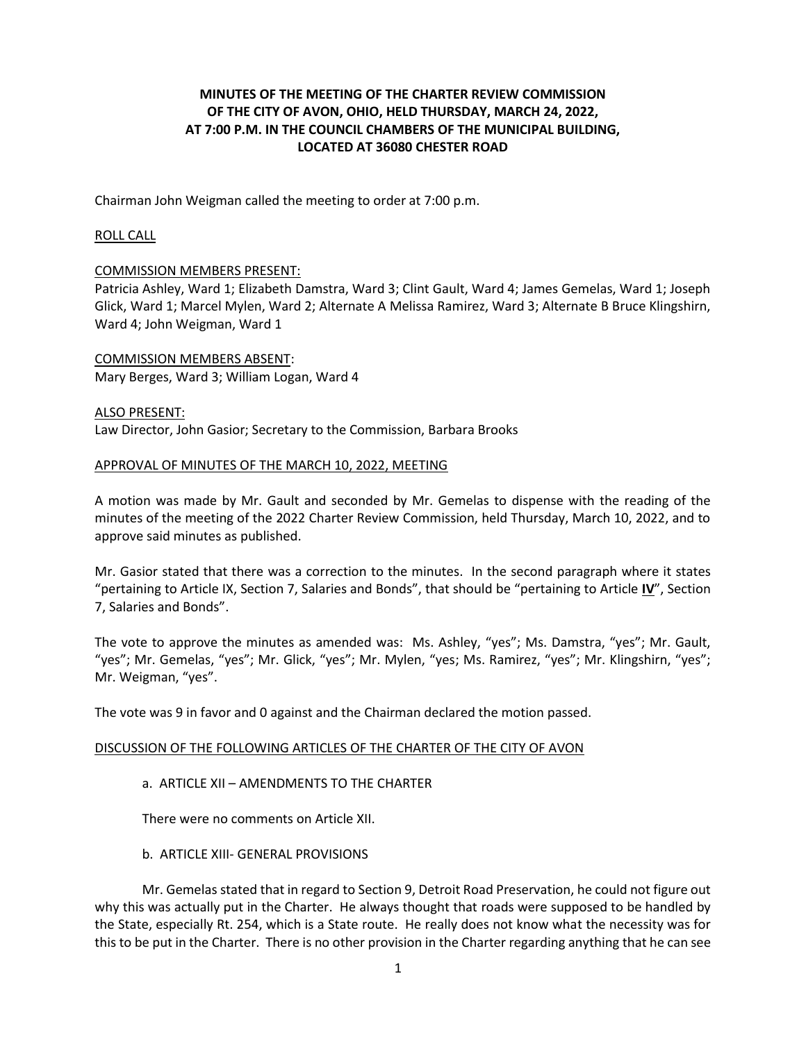# **MINUTES OF THE MEETING OF THE CHARTER REVIEW COMMISSION OF THE CITY OF AVON, OHIO, HELD THURSDAY, MARCH 24, 2022, AT 7:00 P.M. IN THE COUNCIL CHAMBERS OF THE MUNICIPAL BUILDING, LOCATED AT 36080 CHESTER ROAD**

Chairman John Weigman called the meeting to order at 7:00 p.m.

### ROLL CALL

### COMMISSION MEMBERS PRESENT:

Patricia Ashley, Ward 1; Elizabeth Damstra, Ward 3; Clint Gault, Ward 4; James Gemelas, Ward 1; Joseph Glick, Ward 1; Marcel Mylen, Ward 2; Alternate A Melissa Ramirez, Ward 3; Alternate B Bruce Klingshirn, Ward 4; John Weigman, Ward 1

COMMISSION MEMBERS ABSENT: Mary Berges, Ward 3; William Logan, Ward 4

### ALSO PRESENT:

Law Director, John Gasior; Secretary to the Commission, Barbara Brooks

#### APPROVAL OF MINUTES OF THE MARCH 10, 2022, MEETING

A motion was made by Mr. Gault and seconded by Mr. Gemelas to dispense with the reading of the minutes of the meeting of the 2022 Charter Review Commission, held Thursday, March 10, 2022, and to approve said minutes as published.

Mr. Gasior stated that there was a correction to the minutes. In the second paragraph where it states "pertaining to Article IX, Section 7, Salaries and Bonds", that should be "pertaining to Article **IV**", Section 7, Salaries and Bonds".

The vote to approve the minutes as amended was: Ms. Ashley, "yes"; Ms. Damstra, "yes"; Mr. Gault, "yes"; Mr. Gemelas, "yes"; Mr. Glick, "yes"; Mr. Mylen, "yes; Ms. Ramirez, "yes"; Mr. Klingshirn, "yes"; Mr. Weigman, "yes".

The vote was 9 in favor and 0 against and the Chairman declared the motion passed.

#### DISCUSSION OF THE FOLLOWING ARTICLES OF THE CHARTER OF THE CITY OF AVON

#### a. ARTICLE XII – AMENDMENTS TO THE CHARTER

There were no comments on Article XII.

b. ARTICLE XIII- GENERAL PROVISIONS

Mr. Gemelas stated that in regard to Section 9, Detroit Road Preservation, he could not figure out why this was actually put in the Charter. He always thought that roads were supposed to be handled by the State, especially Rt. 254, which is a State route. He really does not know what the necessity was for this to be put in the Charter. There is no other provision in the Charter regarding anything that he can see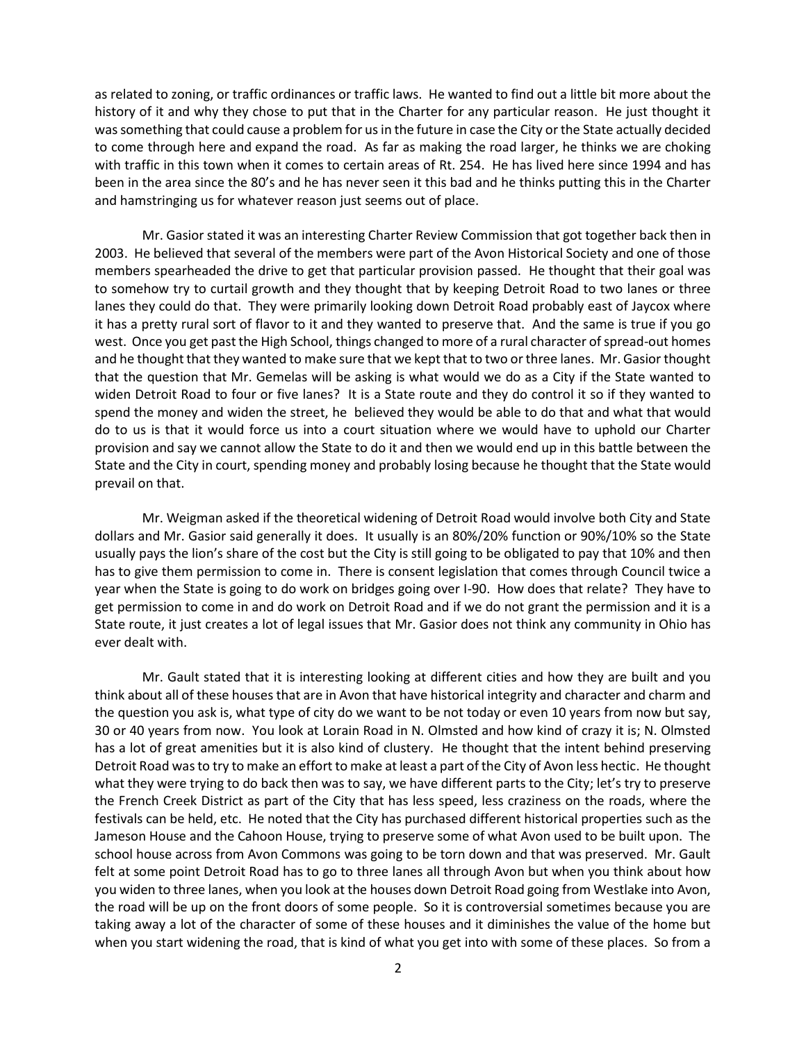as related to zoning, or traffic ordinances or traffic laws. He wanted to find out a little bit more about the history of it and why they chose to put that in the Charter for any particular reason. He just thought it was something that could cause a problem for us in the future in case the City or the State actually decided to come through here and expand the road. As far as making the road larger, he thinks we are choking with traffic in this town when it comes to certain areas of Rt. 254. He has lived here since 1994 and has been in the area since the 80's and he has never seen it this bad and he thinks putting this in the Charter and hamstringing us for whatever reason just seems out of place.

Mr. Gasior stated it was an interesting Charter Review Commission that got together back then in 2003. He believed that several of the members were part of the Avon Historical Society and one of those members spearheaded the drive to get that particular provision passed. He thought that their goal was to somehow try to curtail growth and they thought that by keeping Detroit Road to two lanes or three lanes they could do that. They were primarily looking down Detroit Road probably east of Jaycox where it has a pretty rural sort of flavor to it and they wanted to preserve that. And the same is true if you go west. Once you get past the High School, things changed to more of a rural character of spread-out homes and he thought that they wanted to make sure that we kept that to two or three lanes. Mr. Gasior thought that the question that Mr. Gemelas will be asking is what would we do as a City if the State wanted to widen Detroit Road to four or five lanes? It is a State route and they do control it so if they wanted to spend the money and widen the street, he believed they would be able to do that and what that would do to us is that it would force us into a court situation where we would have to uphold our Charter provision and say we cannot allow the State to do it and then we would end up in this battle between the State and the City in court, spending money and probably losing because he thought that the State would prevail on that.

Mr. Weigman asked if the theoretical widening of Detroit Road would involve both City and State dollars and Mr. Gasior said generally it does. It usually is an 80%/20% function or 90%/10% so the State usually pays the lion's share of the cost but the City is still going to be obligated to pay that 10% and then has to give them permission to come in. There is consent legislation that comes through Council twice a year when the State is going to do work on bridges going over I-90. How does that relate? They have to get permission to come in and do work on Detroit Road and if we do not grant the permission and it is a State route, it just creates a lot of legal issues that Mr. Gasior does not think any community in Ohio has ever dealt with.

Mr. Gault stated that it is interesting looking at different cities and how they are built and you think about all of these houses that are in Avon that have historical integrity and character and charm and the question you ask is, what type of city do we want to be not today or even 10 years from now but say, 30 or 40 years from now. You look at Lorain Road in N. Olmsted and how kind of crazy it is; N. Olmsted has a lot of great amenities but it is also kind of clustery. He thought that the intent behind preserving Detroit Road was to try to make an effort to make at least a part of the City of Avon less hectic. He thought what they were trying to do back then was to say, we have different parts to the City; let's try to preserve the French Creek District as part of the City that has less speed, less craziness on the roads, where the festivals can be held, etc. He noted that the City has purchased different historical properties such as the Jameson House and the Cahoon House, trying to preserve some of what Avon used to be built upon. The school house across from Avon Commons was going to be torn down and that was preserved. Mr. Gault felt at some point Detroit Road has to go to three lanes all through Avon but when you think about how you widen to three lanes, when you look at the houses down Detroit Road going from Westlake into Avon, the road will be up on the front doors of some people. So it is controversial sometimes because you are taking away a lot of the character of some of these houses and it diminishes the value of the home but when you start widening the road, that is kind of what you get into with some of these places. So from a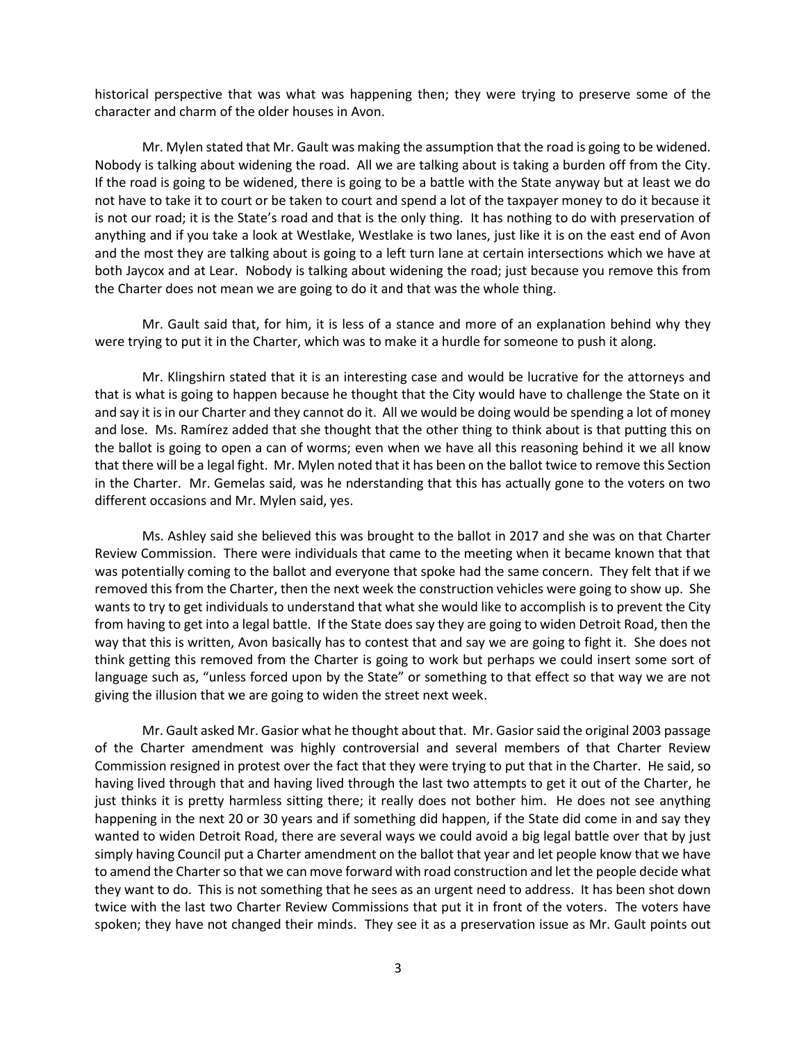historical perspective that was what was happening then; they were trying to preserve some of the character and charm of the older houses in Avon.

Mr. Mylen stated that Mr. Gault was making the assumption that the road is going to be widened. Nobody is talking about widening the road. All we are talking about is taking a burden off from the City. If the road is going to be widened, there is going to be a battle with the State anyway but at least we do not have to take it to court or be taken to court and spend a lot of the taxpayer money to do it because it is not our road; it is the State's road and that is the only thing. It has nothing to do with preservation of anything and if you take a look at Westlake, Westlake is two lanes, just like it is on the east end of Avon and the most they are talking about is going to a left turn lane at certain intersections which we have at both Jaycox and at Lear. Nobody is talking about widening the road; just because you remove this from the Charter does not mean we are going to do it and that was the whole thing.

Mr. Gault said that, for him, it is less of a stance and more of an explanation behind why they were trying to put it in the Charter, which was to make it a hurdle for someone to push it along.

Mr. Klingshirn stated that it is an interesting case and would be lucrative for the attorneys and that is what is going to happen because he thought that the City would have to challenge the State on it and say it is in our Charter and they cannot do it. All we would be doing would be spending a lot of money and lose. Ms. Ramírez added that she thought that the other thing to think about is that putting this on the ballot is going to open a can of worms; even when we have all this reasoning behind it we all know that there will be a legal fight. Mr. Mylen noted that it has been on the ballot twice to remove this Section in the Charter. Mr. Gemelas said, was he nderstanding that this has actually gone to the voters on two different occasions and Mr. Mylen said, yes.

Ms. Ashley said she believed this was brought to the ballot in 2017 and she was on that Charter Review Commission. There were individuals that came to the meeting when it became known that that was potentially coming to the ballot and everyone that spoke had the same concern. They felt that if we removed this from the Charter, then the next week the construction vehicles were going to show up. She wants to try to get individuals to understand that what she would like to accomplish is to prevent the City from having to get into a legal battle. If the State does say they are going to widen Detroit Road, then the way that this is written, Avon basically has to contest that and say we are going to fight it. She does not think getting this removed from the Charter is going to work but perhaps we could insert some sort of language such as, "unless forced upon by the State" or something to that effect so that way we are not giving the illusion that we are going to widen the street next week.

Mr. Gault asked Mr. Gasior what he thought about that. Mr. Gasior said the original 2003 passage of the Charter amendment was highly controversial and several members of that Charter Review Commission resigned in protest over the fact that they were trying to put that in the Charter. He said, so having lived through that and having lived through the last two attempts to get it out of the Charter, he just thinks it is pretty harmless sitting there; it really does not bother him. He does not see anything happening in the next 20 or 30 years and if something did happen, if the State did come in and say they wanted to widen Detroit Road, there are several ways we could avoid a big legal battle over that by just simply having Council put a Charter amendment on the ballot that year and let people know that we have to amend the Charter so that we can move forward with road construction and let the people decide what they want to do. This is not something that he sees as an urgent need to address. It has been shot down twice with the last two Charter Review Commissions that put it in front of the voters. The voters have spoken; they have not changed their minds. They see it as a preservation issue as Mr. Gault points out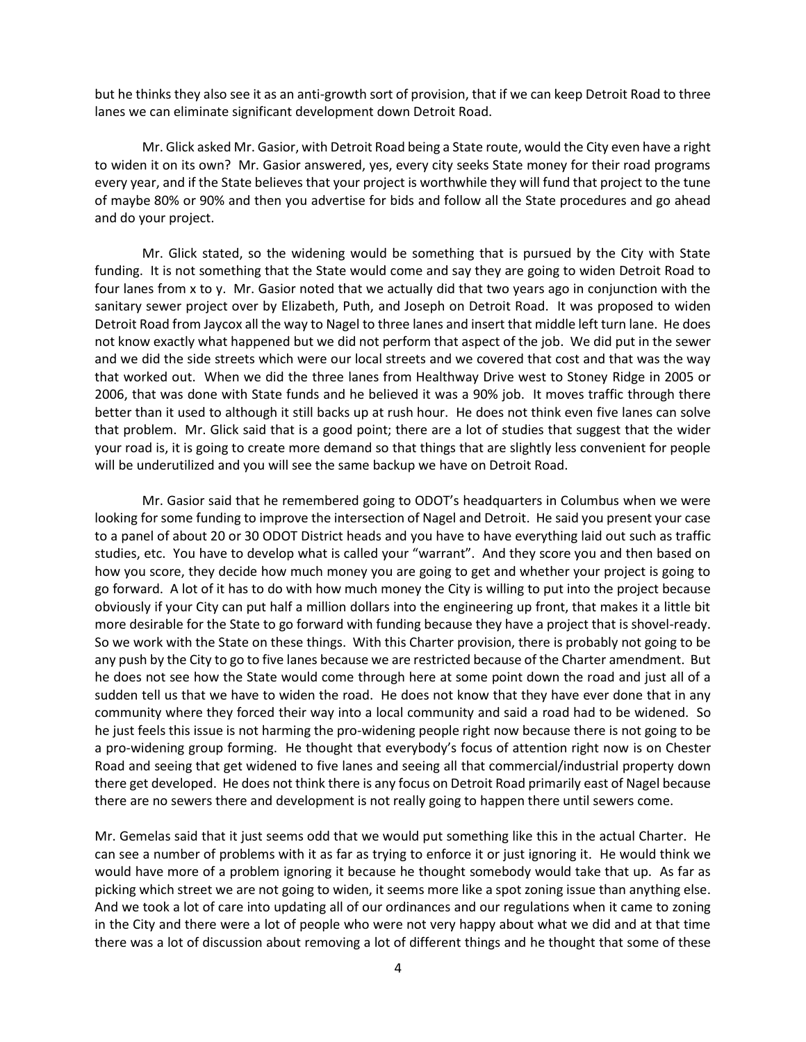but he thinks they also see it as an anti-growth sort of provision, that if we can keep Detroit Road to three lanes we can eliminate significant development down Detroit Road.

Mr. Glick asked Mr. Gasior, with Detroit Road being a State route, would the City even have a right to widen it on its own? Mr. Gasior answered, yes, every city seeks State money for their road programs every year, and if the State believes that your project is worthwhile they will fund that project to the tune of maybe 80% or 90% and then you advertise for bids and follow all the State procedures and go ahead and do your project.

Mr. Glick stated, so the widening would be something that is pursued by the City with State funding. It is not something that the State would come and say they are going to widen Detroit Road to four lanes from x to y. Mr. Gasior noted that we actually did that two years ago in conjunction with the sanitary sewer project over by Elizabeth, Puth, and Joseph on Detroit Road. It was proposed to widen Detroit Road from Jaycox all the way to Nagel to three lanes and insert that middle left turn lane. He does not know exactly what happened but we did not perform that aspect of the job. We did put in the sewer and we did the side streets which were our local streets and we covered that cost and that was the way that worked out. When we did the three lanes from Healthway Drive west to Stoney Ridge in 2005 or 2006, that was done with State funds and he believed it was a 90% job. It moves traffic through there better than it used to although it still backs up at rush hour. He does not think even five lanes can solve that problem. Mr. Glick said that is a good point; there are a lot of studies that suggest that the wider your road is, it is going to create more demand so that things that are slightly less convenient for people will be underutilized and you will see the same backup we have on Detroit Road.

Mr. Gasior said that he remembered going to ODOT's headquarters in Columbus when we were looking for some funding to improve the intersection of Nagel and Detroit. He said you present your case to a panel of about 20 or 30 ODOT District heads and you have to have everything laid out such as traffic studies, etc. You have to develop what is called your "warrant". And they score you and then based on how you score, they decide how much money you are going to get and whether your project is going to go forward. A lot of it has to do with how much money the City is willing to put into the project because obviously if your City can put half a million dollars into the engineering up front, that makes it a little bit more desirable for the State to go forward with funding because they have a project that is shovel-ready. So we work with the State on these things. With this Charter provision, there is probably not going to be any push by the City to go to five lanes because we are restricted because of the Charter amendment. But he does not see how the State would come through here at some point down the road and just all of a sudden tell us that we have to widen the road. He does not know that they have ever done that in any community where they forced their way into a local community and said a road had to be widened. So he just feels this issue is not harming the pro-widening people right now because there is not going to be a pro-widening group forming. He thought that everybody's focus of attention right now is on Chester Road and seeing that get widened to five lanes and seeing all that commercial/industrial property down there get developed. He does not think there is any focus on Detroit Road primarily east of Nagel because there are no sewers there and development is not really going to happen there until sewers come.

Mr. Gemelas said that it just seems odd that we would put something like this in the actual Charter. He can see a number of problems with it as far as trying to enforce it or just ignoring it. He would think we would have more of a problem ignoring it because he thought somebody would take that up. As far as picking which street we are not going to widen, it seems more like a spot zoning issue than anything else. And we took a lot of care into updating all of our ordinances and our regulations when it came to zoning in the City and there were a lot of people who were not very happy about what we did and at that time there was a lot of discussion about removing a lot of different things and he thought that some of these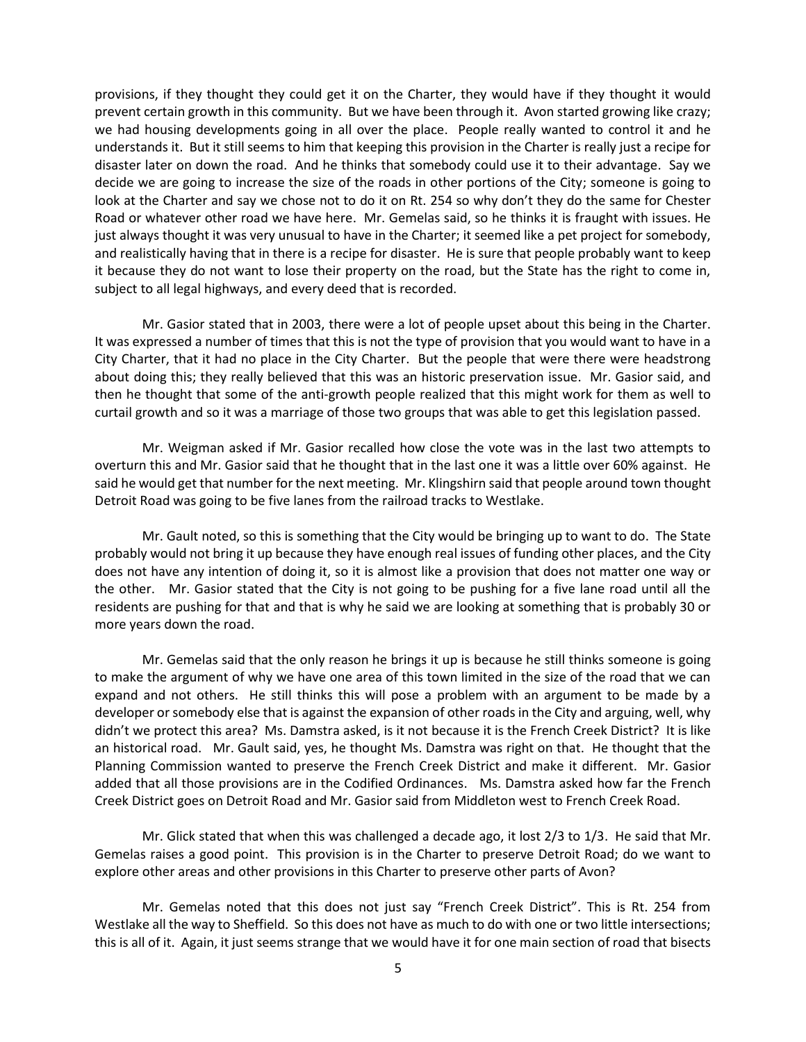provisions, if they thought they could get it on the Charter, they would have if they thought it would prevent certain growth in this community. But we have been through it. Avon started growing like crazy; we had housing developments going in all over the place. People really wanted to control it and he understands it. But it still seems to him that keeping this provision in the Charter is really just a recipe for disaster later on down the road. And he thinks that somebody could use it to their advantage. Say we decide we are going to increase the size of the roads in other portions of the City; someone is going to look at the Charter and say we chose not to do it on Rt. 254 so why don't they do the same for Chester Road or whatever other road we have here. Mr. Gemelas said, so he thinks it is fraught with issues. He just always thought it was very unusual to have in the Charter; it seemed like a pet project for somebody, and realistically having that in there is a recipe for disaster. He is sure that people probably want to keep it because they do not want to lose their property on the road, but the State has the right to come in, subject to all legal highways, and every deed that is recorded.

Mr. Gasior stated that in 2003, there were a lot of people upset about this being in the Charter. It was expressed a number of times that this is not the type of provision that you would want to have in a City Charter, that it had no place in the City Charter. But the people that were there were headstrong about doing this; they really believed that this was an historic preservation issue. Mr. Gasior said, and then he thought that some of the anti-growth people realized that this might work for them as well to curtail growth and so it was a marriage of those two groups that was able to get this legislation passed.

Mr. Weigman asked if Mr. Gasior recalled how close the vote was in the last two attempts to overturn this and Mr. Gasior said that he thought that in the last one it was a little over 60% against. He said he would get that number for the next meeting. Mr. Klingshirn said that people around town thought Detroit Road was going to be five lanes from the railroad tracks to Westlake.

Mr. Gault noted, so this is something that the City would be bringing up to want to do. The State probably would not bring it up because they have enough real issues of funding other places, and the City does not have any intention of doing it, so it is almost like a provision that does not matter one way or the other. Mr. Gasior stated that the City is not going to be pushing for a five lane road until all the residents are pushing for that and that is why he said we are looking at something that is probably 30 or more years down the road.

Mr. Gemelas said that the only reason he brings it up is because he still thinks someone is going to make the argument of why we have one area of this town limited in the size of the road that we can expand and not others. He still thinks this will pose a problem with an argument to be made by a developer or somebody else that is against the expansion of other roads in the City and arguing, well, why didn't we protect this area? Ms. Damstra asked, is it not because it is the French Creek District? It is like an historical road. Mr. Gault said, yes, he thought Ms. Damstra was right on that. He thought that the Planning Commission wanted to preserve the French Creek District and make it different. Mr. Gasior added that all those provisions are in the Codified Ordinances. Ms. Damstra asked how far the French Creek District goes on Detroit Road and Mr. Gasior said from Middleton west to French Creek Road.

Mr. Glick stated that when this was challenged a decade ago, it lost 2/3 to 1/3. He said that Mr. Gemelas raises a good point. This provision is in the Charter to preserve Detroit Road; do we want to explore other areas and other provisions in this Charter to preserve other parts of Avon?

Mr. Gemelas noted that this does not just say "French Creek District". This is Rt. 254 from Westlake all the way to Sheffield. So this does not have as much to do with one or two little intersections; this is all of it. Again, it just seems strange that we would have it for one main section of road that bisects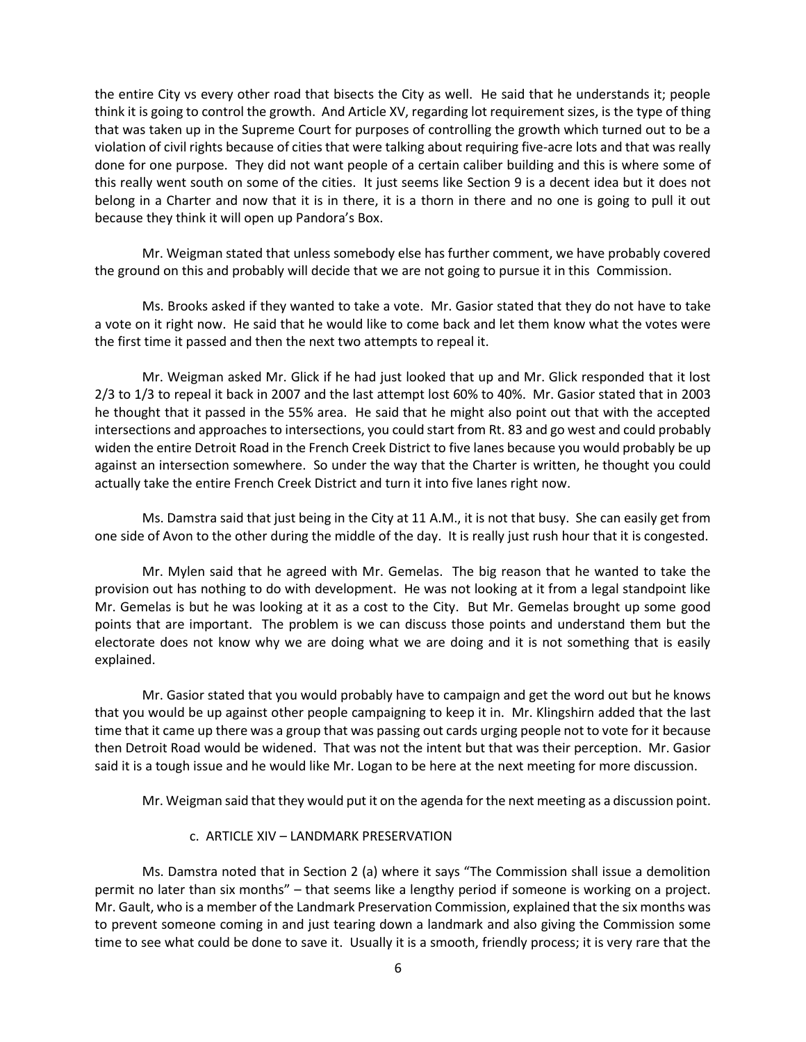the entire City vs every other road that bisects the City as well. He said that he understands it; people think it is going to control the growth. And Article XV, regarding lot requirement sizes, is the type of thing that was taken up in the Supreme Court for purposes of controlling the growth which turned out to be a violation of civil rights because of cities that were talking about requiring five-acre lots and that was really done for one purpose. They did not want people of a certain caliber building and this is where some of this really went south on some of the cities. It just seems like Section 9 is a decent idea but it does not belong in a Charter and now that it is in there, it is a thorn in there and no one is going to pull it out because they think it will open up Pandora's Box.

Mr. Weigman stated that unless somebody else has further comment, we have probably covered the ground on this and probably will decide that we are not going to pursue it in this Commission.

Ms. Brooks asked if they wanted to take a vote. Mr. Gasior stated that they do not have to take a vote on it right now. He said that he would like to come back and let them know what the votes were the first time it passed and then the next two attempts to repeal it.

Mr. Weigman asked Mr. Glick if he had just looked that up and Mr. Glick responded that it lost 2/3 to 1/3 to repeal it back in 2007 and the last attempt lost 60% to 40%. Mr. Gasior stated that in 2003 he thought that it passed in the 55% area. He said that he might also point out that with the accepted intersections and approaches to intersections, you could start from Rt. 83 and go west and could probably widen the entire Detroit Road in the French Creek District to five lanes because you would probably be up against an intersection somewhere. So under the way that the Charter is written, he thought you could actually take the entire French Creek District and turn it into five lanes right now.

Ms. Damstra said that just being in the City at 11 A.M., it is not that busy. She can easily get from one side of Avon to the other during the middle of the day. It is really just rush hour that it is congested.

Mr. Mylen said that he agreed with Mr. Gemelas. The big reason that he wanted to take the provision out has nothing to do with development. He was not looking at it from a legal standpoint like Mr. Gemelas is but he was looking at it as a cost to the City. But Mr. Gemelas brought up some good points that are important. The problem is we can discuss those points and understand them but the electorate does not know why we are doing what we are doing and it is not something that is easily explained.

Mr. Gasior stated that you would probably have to campaign and get the word out but he knows that you would be up against other people campaigning to keep it in. Mr. Klingshirn added that the last time that it came up there was a group that was passing out cards urging people not to vote for it because then Detroit Road would be widened. That was not the intent but that was their perception. Mr. Gasior said it is a tough issue and he would like Mr. Logan to be here at the next meeting for more discussion.

Mr. Weigman said that they would put it on the agenda for the next meeting as a discussion point.

## c. ARTICLE XIV – LANDMARK PRESERVATION

Ms. Damstra noted that in Section 2 (a) where it says "The Commission shall issue a demolition permit no later than six months" – that seems like a lengthy period if someone is working on a project. Mr. Gault, who is a member of the Landmark Preservation Commission, explained that the six months was to prevent someone coming in and just tearing down a landmark and also giving the Commission some time to see what could be done to save it. Usually it is a smooth, friendly process; it is very rare that the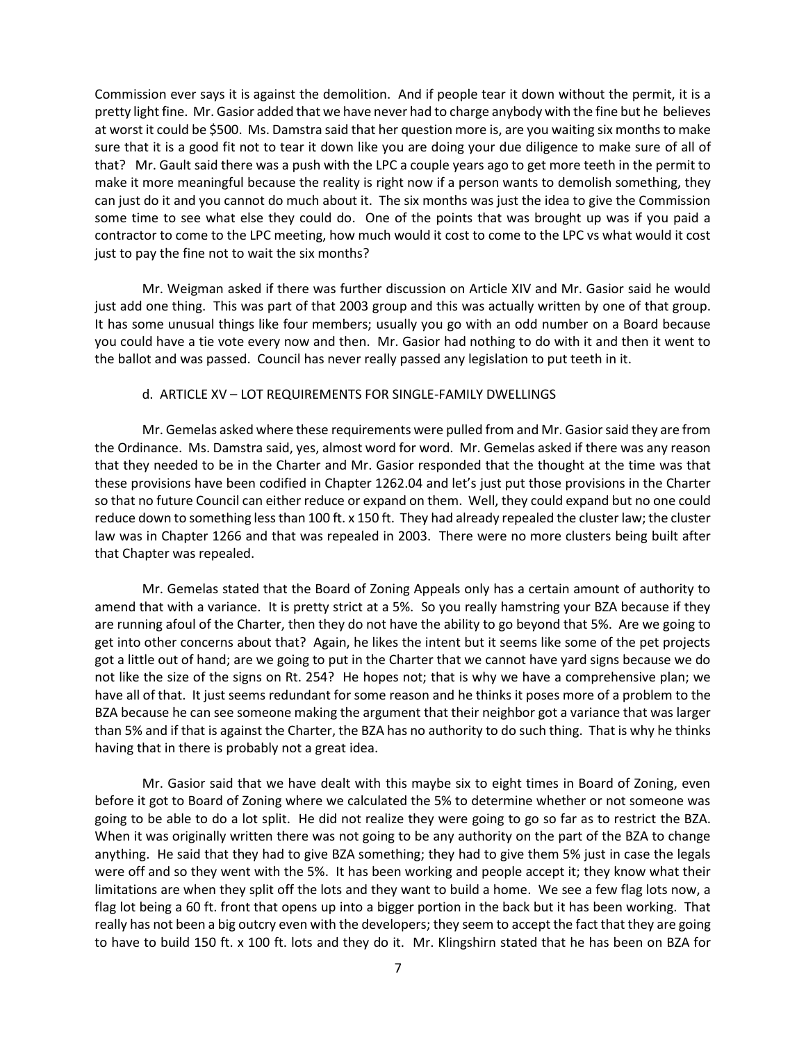Commission ever says it is against the demolition. And if people tear it down without the permit, it is a pretty light fine. Mr. Gasior added that we have never had to charge anybody with the fine but he believes at worst it could be \$500. Ms. Damstra said that her question more is, are you waiting six months to make sure that it is a good fit not to tear it down like you are doing your due diligence to make sure of all of that? Mr. Gault said there was a push with the LPC a couple years ago to get more teeth in the permit to make it more meaningful because the reality is right now if a person wants to demolish something, they can just do it and you cannot do much about it. The six months was just the idea to give the Commission some time to see what else they could do. One of the points that was brought up was if you paid a contractor to come to the LPC meeting, how much would it cost to come to the LPC vs what would it cost just to pay the fine not to wait the six months?

Mr. Weigman asked if there was further discussion on Article XIV and Mr. Gasior said he would just add one thing. This was part of that 2003 group and this was actually written by one of that group. It has some unusual things like four members; usually you go with an odd number on a Board because you could have a tie vote every now and then. Mr. Gasior had nothing to do with it and then it went to the ballot and was passed. Council has never really passed any legislation to put teeth in it.

#### d. ARTICLE XV – LOT REQUIREMENTS FOR SINGLE-FAMILY DWELLINGS

Mr. Gemelas asked where these requirements were pulled from and Mr. Gasior said they are from the Ordinance. Ms. Damstra said, yes, almost word for word. Mr. Gemelas asked if there was any reason that they needed to be in the Charter and Mr. Gasior responded that the thought at the time was that these provisions have been codified in Chapter 1262.04 and let's just put those provisions in the Charter so that no future Council can either reduce or expand on them. Well, they could expand but no one could reduce down to something less than 100 ft. x 150 ft. They had already repealed the cluster law; the cluster law was in Chapter 1266 and that was repealed in 2003. There were no more clusters being built after that Chapter was repealed.

Mr. Gemelas stated that the Board of Zoning Appeals only has a certain amount of authority to amend that with a variance. It is pretty strict at a 5%. So you really hamstring your BZA because if they are running afoul of the Charter, then they do not have the ability to go beyond that 5%. Are we going to get into other concerns about that? Again, he likes the intent but it seems like some of the pet projects got a little out of hand; are we going to put in the Charter that we cannot have yard signs because we do not like the size of the signs on Rt. 254? He hopes not; that is why we have a comprehensive plan; we have all of that. It just seems redundant for some reason and he thinks it poses more of a problem to the BZA because he can see someone making the argument that their neighbor got a variance that was larger than 5% and if that is against the Charter, the BZA has no authority to do such thing. That is why he thinks having that in there is probably not a great idea.

Mr. Gasior said that we have dealt with this maybe six to eight times in Board of Zoning, even before it got to Board of Zoning where we calculated the 5% to determine whether or not someone was going to be able to do a lot split. He did not realize they were going to go so far as to restrict the BZA. When it was originally written there was not going to be any authority on the part of the BZA to change anything. He said that they had to give BZA something; they had to give them 5% just in case the legals were off and so they went with the 5%. It has been working and people accept it; they know what their limitations are when they split off the lots and they want to build a home. We see a few flag lots now, a flag lot being a 60 ft. front that opens up into a bigger portion in the back but it has been working. That really has not been a big outcry even with the developers; they seem to accept the fact that they are going to have to build 150 ft. x 100 ft. lots and they do it. Mr. Klingshirn stated that he has been on BZA for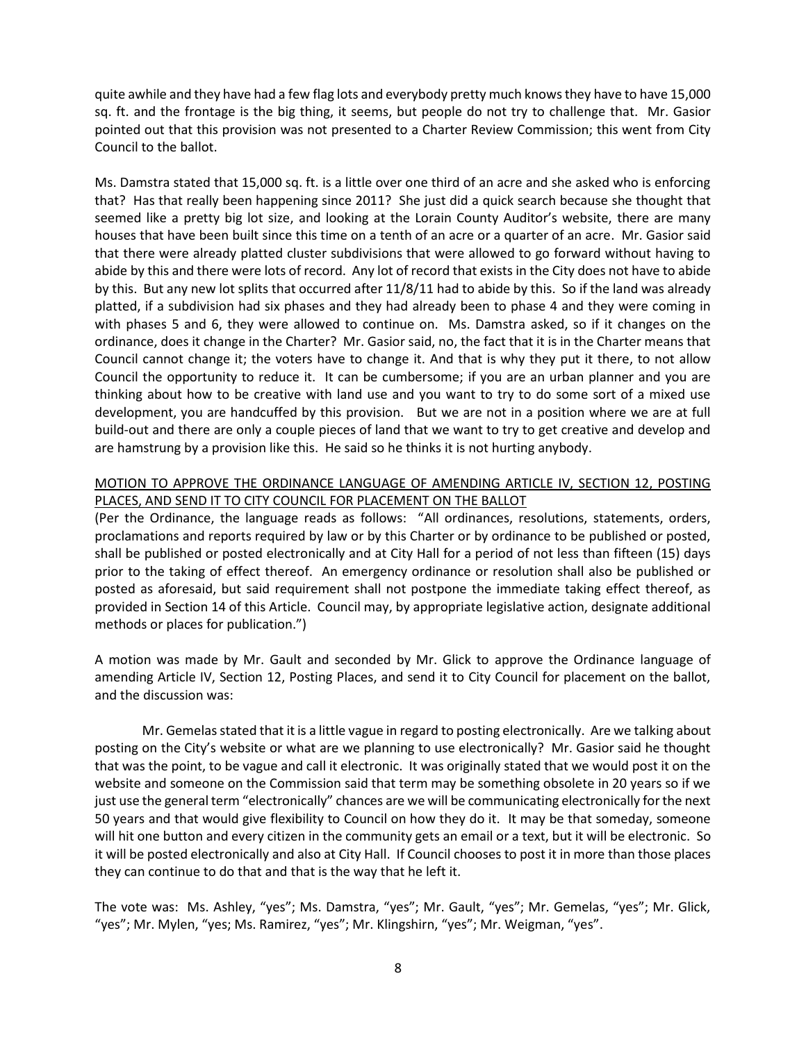quite awhile and they have had a few flag lots and everybody pretty much knows they have to have 15,000 sq. ft. and the frontage is the big thing, it seems, but people do not try to challenge that. Mr. Gasior pointed out that this provision was not presented to a Charter Review Commission; this went from City Council to the ballot.

Ms. Damstra stated that 15,000 sq. ft. is a little over one third of an acre and she asked who is enforcing that? Has that really been happening since 2011? She just did a quick search because she thought that seemed like a pretty big lot size, and looking at the Lorain County Auditor's website, there are many houses that have been built since this time on a tenth of an acre or a quarter of an acre. Mr. Gasior said that there were already platted cluster subdivisions that were allowed to go forward without having to abide by this and there were lots of record. Any lot of record that exists in the City does not have to abide by this. But any new lot splits that occurred after 11/8/11 had to abide by this. So if the land was already platted, if a subdivision had six phases and they had already been to phase 4 and they were coming in with phases 5 and 6, they were allowed to continue on. Ms. Damstra asked, so if it changes on the ordinance, does it change in the Charter? Mr. Gasior said, no, the fact that it is in the Charter means that Council cannot change it; the voters have to change it. And that is why they put it there, to not allow Council the opportunity to reduce it. It can be cumbersome; if you are an urban planner and you are thinking about how to be creative with land use and you want to try to do some sort of a mixed use development, you are handcuffed by this provision. But we are not in a position where we are at full build-out and there are only a couple pieces of land that we want to try to get creative and develop and are hamstrung by a provision like this. He said so he thinks it is not hurting anybody.

## MOTION TO APPROVE THE ORDINANCE LANGUAGE OF AMENDING ARTICLE IV, SECTION 12, POSTING PLACES, AND SEND IT TO CITY COUNCIL FOR PLACEMENT ON THE BALLOT

(Per the Ordinance, the language reads as follows: "All ordinances, resolutions, statements, orders, proclamations and reports required by law or by this Charter or by ordinance to be published or posted, shall be published or posted electronically and at City Hall for a period of not less than fifteen (15) days prior to the taking of effect thereof. An emergency ordinance or resolution shall also be published or posted as aforesaid, but said requirement shall not postpone the immediate taking effect thereof, as provided in Section 14 of this Article. Council may, by appropriate legislative action, designate additional methods or places for publication.")

A motion was made by Mr. Gault and seconded by Mr. Glick to approve the Ordinance language of amending Article IV, Section 12, Posting Places, and send it to City Council for placement on the ballot, and the discussion was:

Mr. Gemelas stated that it is a little vague in regard to posting electronically. Are we talking about posting on the City's website or what are we planning to use electronically? Mr. Gasior said he thought that was the point, to be vague and call it electronic. It was originally stated that we would post it on the website and someone on the Commission said that term may be something obsolete in 20 years so if we just use the general term "electronically" chances are we will be communicating electronically for the next 50 years and that would give flexibility to Council on how they do it. It may be that someday, someone will hit one button and every citizen in the community gets an email or a text, but it will be electronic. So it will be posted electronically and also at City Hall. If Council chooses to post it in more than those places they can continue to do that and that is the way that he left it.

The vote was: Ms. Ashley, "yes"; Ms. Damstra, "yes"; Mr. Gault, "yes"; Mr. Gemelas, "yes"; Mr. Glick, "yes"; Mr. Mylen, "yes; Ms. Ramirez, "yes"; Mr. Klingshirn, "yes"; Mr. Weigman, "yes".